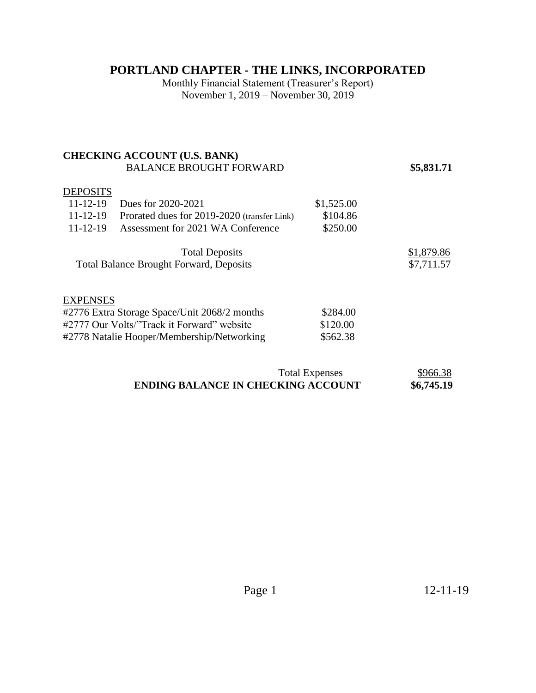## **PORTLAND CHAPTER - THE LINKS, INCORPORATED**

Monthly Financial Statement (Treasurer's Report) November 1, 2019 – November 30, 2019

### **CHECKING ACCOUNT (U.S. BANK)**  BALANCE BROUGHT FORWARD **\$5,831.71**

#### **DEPOSITS**

| $11 - 12 - 19$ | Dues for 2020-2021                                                      | \$1,525.00 |                          |
|----------------|-------------------------------------------------------------------------|------------|--------------------------|
| $11 - 12 - 19$ | Prorated dues for 2019-2020 (transfer Link)                             | \$104.86   |                          |
| $11 - 12 - 19$ | Assessment for 2021 WA Conference                                       | \$250.00   |                          |
|                | <b>Total Deposits</b><br><b>Total Balance Brought Forward, Deposits</b> |            | \$1,879.86<br>\$7,711.57 |

#### **EXPENSES**

| #2776 Extra Storage Space/Unit 2068/2 months | \$284.00 |
|----------------------------------------------|----------|
| #2777 Our Volts/"Track it Forward" website   | \$120.00 |
| #2778 Natalie Hooper/Membership/Networking   | \$562.38 |

| <b>Total Expenses</b>                     | \$966.38   |
|-------------------------------------------|------------|
| <b>ENDING BALANCE IN CHECKING ACCOUNT</b> | \$6,745.19 |